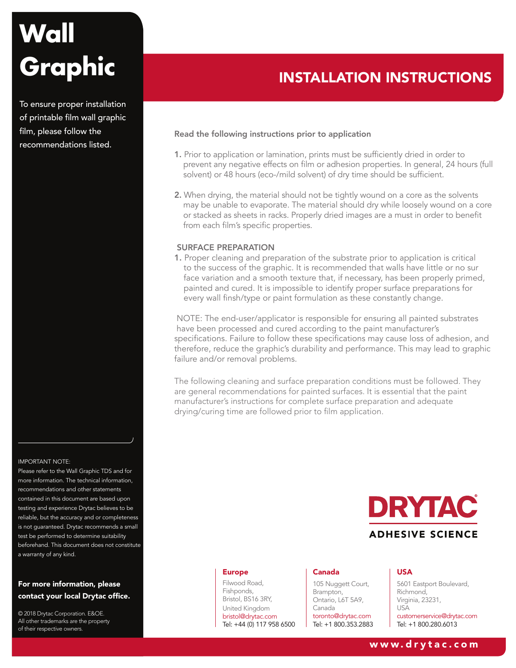To ensure proper installation of printable film wall graphic film, please follow the recommendations listed.

#### IMPORTANT NOTE:

Please refer to the Wall Graphic TDS and for more information. The technical information, recommendations and other statements contained in this document are based upon testing and experience Drytac believes to be reliable, but the accuracy and or completeness is not guaranteed. Drytac recommends a small test be performed to determine suitability beforehand. This document does not constitute a warranty of any kind.

# For more information, please contact your local Drytac office.

© 2018 Drytac Corporation. E&OE. All other trademarks are the property of their respective owners.

# INSTALLATION INSTRUCTIONS

#### Read the following instructions prior to application

- 1. Prior to application or lamination, prints must be sufficiently dried in order to prevent any negative effects on film or adhesion properties. In general, 24 hours (full solvent) or 48 hours (eco-/mild solvent) of dry time should be sufficient.
- 2. When drying, the material should not be tightly wound on a core as the solvents may be unable to evaporate. The material should dry while loosely wound on a core or stacked as sheets in racks. Properly dried images are a must in order to benefit from each film's specific properties.

#### SURFACE PREPARATION

1. Proper cleaning and preparation of the substrate prior to application is critical to the success of the graphic. It is recommended that walls have little or no sur face variation and a smooth texture that, if necessary, has been properly primed, painted and cured. It is impossible to identify proper surface preparations for every wall finsh/type or paint formulation as these constantly change.

 NOTE: The end-user/applicator is responsible for ensuring all painted substrates have been processed and cured according to the paint manufacturer's specifications. Failure to follow these specifications may cause loss of adhesion, and therefore, reduce the graphic's durability and performance. This may lead to graphic failure and/or removal problems.

The following cleaning and surface preparation conditions must be followed. They are general recommendations for painted surfaces. It is essential that the paint manufacturer's instructions for complete surface preparation and adequate drying/curing time are followed prior to film application.



#### Europe

Filwood Road, Fishponds, Bristol, BS16 3RY, United Kingdom bristol@drytac.com Tel: +44 (0) 117 958 6500

#### Canada

105 Nuggett Court, Brampton, Ontario, L6T 5A9, Canada toronto@drytac.com Tel: +1 800.353.2883

#### USA

5601 Eastport Boulevard, Richmond, Virginia, 23231, USA customerservice@drytac.com Tel: +1 800.280.6013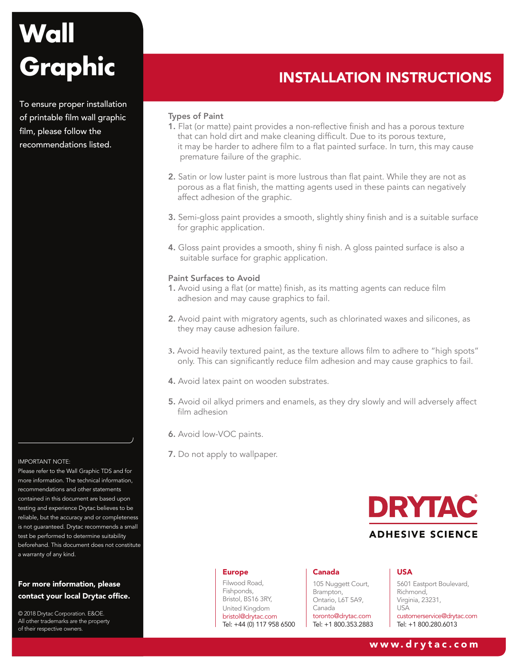To ensure proper installation of printable film wall graphic film, please follow the recommendations listed.

### IMPORTANT NOTE:

Please refer to the Wall Graphic TDS and for more information. The technical information, recommendations and other statements contained in this document are based upon testing and experience Drytac believes to be reliable, but the accuracy and or completeness is not guaranteed. Drytac recommends a small test be performed to determine suitability beforehand. This document does not constitute a warranty of any kind.

# For more information, please contact your local Drytac office.

© 2018 Drytac Corporation. E&OE. All other trademarks are the property of their respective owners.

# INSTALLATION INSTRUCTIONS

## Types of Paint

- 1. Flat (or matte) paint provides a non-reflective finish and has a porous texture that can hold dirt and make cleaning difficult. Due to its porous texture, it may be harder to adhere film to a flat painted surface. In turn, this may cause premature failure of the graphic.
- 2. Satin or low luster paint is more lustrous than flat paint. While they are not as porous as a flat finish, the matting agents used in these paints can negatively affect adhesion of the graphic.
- 3. Semi-gloss paint provides a smooth, slightly shiny finish and is a suitable surface for graphic application.
- 4. Gloss paint provides a smooth, shiny fi nish. A gloss painted surface is also a suitable surface for graphic application.

#### Paint Surfaces to Avoid

- 1. Avoid using a flat (or matte) finish, as its matting agents can reduce film adhesion and may cause graphics to fail.
- 2. Avoid paint with migratory agents, such as chlorinated waxes and silicones, as they may cause adhesion failure.
- **3**. Avoid heavily textured paint, as the texture allows film to adhere to "high spots" only. This can significantly reduce film adhesion and may cause graphics to fail.
- 4. Avoid latex paint on wooden substrates.
- 5. Avoid oil alkyd primers and enamels, as they dry slowly and will adversely affect film adhesion
- 6. Avoid low-VOC paints.
- 7. Do not apply to wallpaper.



#### Europe

Filwood Road, Fishponds, Bristol, BS16 3RY, United Kingdom bristol@drytac.com Tel: +44 (0) 117 958 6500

#### Canada

105 Nuggett Court, Brampton, Ontario, L6T 5A9, Canada toronto@drytac.com Tel: +1 800.353.2883

#### USA

5601 Eastport Boulevard, Richmond, Virginia, 23231, USA customerservice@drytac.com Tel: +1 800.280.6013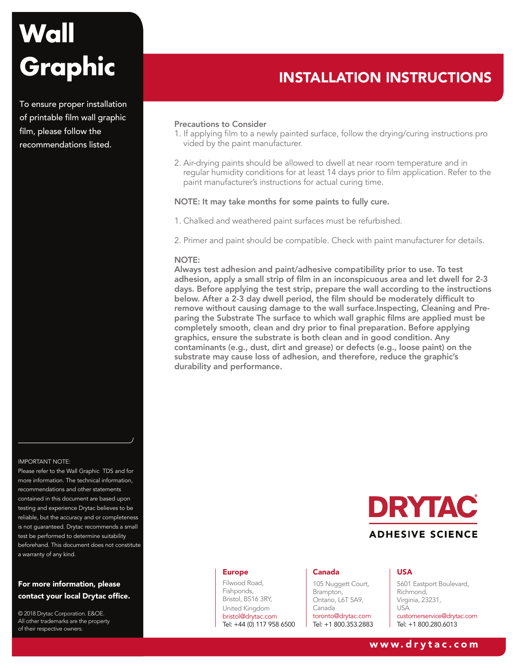To ensure proper installation of printable film wall graphic film, please follow the recommendations listed.

# IMPORTANT NOTE:

Please refer to the Wall Graphic TDS and for more information. The technical information, recommendations and other statements contained in this document are based upon testing and experience Drytac believes to be reliable, but the accuracy and or completeness is not guaranteed. Drytac recommends a small test be performed to determine suitability beforehand. This document does not constitute a warranty of any kind.

# For more information, please contact your local Drytac office.

© 2018 Drytac Corporation. E&OE. All other trademarks are the property of their respective owners.

# INSTALLATION INSTRUCTIONS

#### Precautions to Consider

- 1. If applying film to a newly painted surface, follow the drying/curing instructions pro vided by the paint manufacturer.
- 2. Air-drying paints should be allowed to dwell at near room temperature and in regular humidity conditions for at least 14 days prior to film application. Refer to the paint manufacturer's instructions for actual curing time.

#### NOTE: It may take months for some paints to fully cure.

- 1. Chalked and weathered paint surfaces must be refurbished.
- 2. Primer and paint should be compatible. Check with paint manufacturer for details.

## NOTE:

Always test adhesion and paint/adhesive compatibility prior to use. To test adhesion, apply a small strip of film in an inconspicuous area and let dwell for 2-3 days. Before applying the test strip, prepare the wall according to the instructions below. After a 2-3 day dwell period, the film should be moderately difficult to remove without causing damage to the wall surface.Inspecting, Cleaning and Preparing the Substrate The surface to which wall graphic films are applied must be completely smooth, clean and dry prior to final preparation. Before applying graphics, ensure the substrate is both clean and in good condition. Any contaminants (e.g., dust, dirt and grease) or defects (e.g., loose paint) on the substrate may cause loss of adhesion, and therefore, reduce the graphic's durability and performance.



#### Europe

Filwood Road, Fishponds, Bristol, BS16 3RY, United Kingdom bristol@drytac.com Tel: +44 (0) 117 958 6500

#### Canada

105 Nuggett Court, Brampton, Ontario, L6T 5A9, Canada toronto@drytac.com Tel: +1 800.353.2883

#### USA

5601 Eastport Boulevard, Richmond, Virginia, 23231, USA customerservice@drytac.com Tel: +1 800.280.6013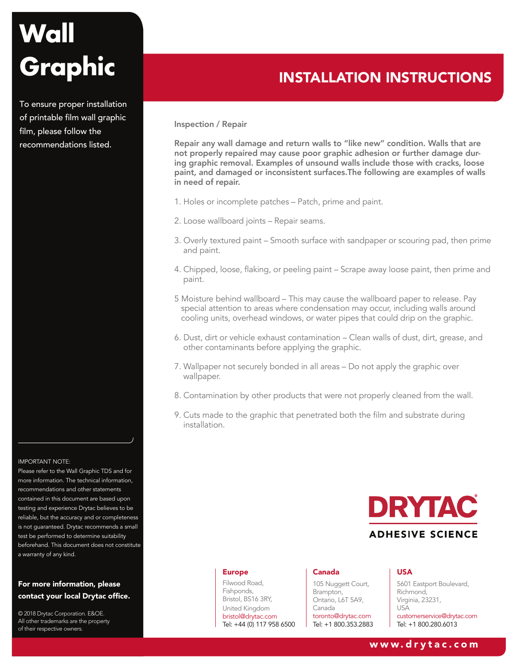To ensure proper installation of printable film wall graphic film, please follow the recommendations listed.



Please refer to the Wall Graphic TDS and for more information. The technical information, recommendations and other statements contained in this document are based upon testing and experience Drytac believes to be reliable, but the accuracy and or completeness is not guaranteed. Drytac recommends a small test be performed to determine suitability beforehand. This document does not constitute a warranty of any kind.

# For more information, please contact your local Drytac office.

© 2018 Drytac Corporation. E&OE. All other trademarks are the property of their respective owners.

# INSTALLATION INSTRUCTIONS

#### Inspection / Repair

Repair any wall damage and return walls to "like new" condition. Walls that are not properly repaired may cause poor graphic adhesion or further damage during graphic removal. Examples of unsound walls include those with cracks, loose paint, and damaged or inconsistent surfaces.The following are examples of walls in need of repair.

- 1. Holes or incomplete patches Patch, prime and paint.
- 2. Loose wallboard joints Repair seams.
- 3. Overly textured paint Smooth surface with sandpaper or scouring pad, then prime and paint.
- 4. Chipped, loose, flaking, or peeling paint Scrape away loose paint, then prime and paint.
- 5 Moisture behind wallboard This may cause the wallboard paper to release. Pay special attention to areas where condensation may occur, including walls around cooling units, overhead windows, or water pipes that could drip on the graphic.
- 6. Dust, dirt or vehicle exhaust contamination Clean walls of dust, dirt, grease, and other contaminants before applying the graphic.
- 7. Wallpaper not securely bonded in all areas Do not apply the graphic over wallpaper.
- 8. Contamination by other products that were not properly cleaned from the wall.
- 9. Cuts made to the graphic that penetrated both the film and substrate during installation.



#### Europe

Filwood Road, Fishponds, Bristol, BS16 3RY, United Kingdom bristol@drytac.com Tel: +44 (0) 117 958 6500

#### Canada

105 Nuggett Court, Brampton, Ontario, L6T 5A9, Canada toronto@drytac.com Tel: +1 800.353.2883

#### USA

5601 Eastport Boulevard, Richmond, Virginia, 23231, USA customerservice@drytac.com Tel: +1 800.280.6013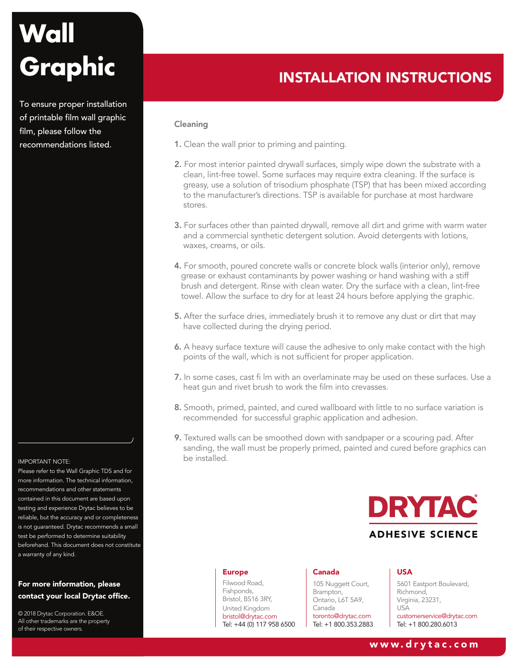To ensure proper installation of printable film wall graphic film, please follow the recommendations listed.

#### IMPORTANT NOTE:

Please refer to the Wall Graphic TDS and for more information. The technical information, recommendations and other statements contained in this document are based upon testing and experience Drytac believes to be reliable, but the accuracy and or completeness is not guaranteed. Drytac recommends a small test be performed to determine suitability beforehand. This document does not constitute a warranty of any kind.

# For more information, please contact your local Drytac office.

© 2018 Drytac Corporation. E&OE. All other trademarks are the property of their respective owners.

# INSTALLATION INSTRUCTIONS

### Cleaning

- 1. Clean the wall prior to priming and painting.
- 2. For most interior painted drywall surfaces, simply wipe down the substrate with a clean, lint-free towel. Some surfaces may require extra cleaning. If the surface is greasy, use a solution of trisodium phosphate (TSP) that has been mixed according to the manufacturer's directions. TSP is available for purchase at most hardware stores.
- 3. For surfaces other than painted drywall, remove all dirt and grime with warm water and a commercial synthetic detergent solution. Avoid detergents with lotions, waxes, creams, or oils.
- 4. For smooth, poured concrete walls or concrete block walls (interior only), remove grease or exhaust contaminants by power washing or hand washing with a stiff brush and detergent. Rinse with clean water. Dry the surface with a clean, lint-free towel. Allow the surface to dry for at least 24 hours before applying the graphic.
- 5. After the surface dries, immediately brush it to remove any dust or dirt that may have collected during the drying period.
- 6. A heavy surface texture will cause the adhesive to only make contact with the high points of the wall, which is not sufficient for proper application.
- 7. In some cases, cast fi lm with an overlaminate may be used on these surfaces. Use a heat gun and rivet brush to work the film into crevasses.
- 8. Smooth, primed, painted, and cured wallboard with little to no surface variation is recommended for successful graphic application and adhesion.
- 9. Textured walls can be smoothed down with sandpaper or a scouring pad. After sanding, the wall must be properly primed, painted and cured before graphics can be installed.



#### Europe

Filwood Road, Fishponds, Bristol, BS16 3RY, United Kingdom bristol@drytac.com Tel: +44 (0) 117 958 6500

#### Canada

105 Nuggett Court, Brampton, Ontario, L6T 5A9, Canada toronto@drytac.com Tel: +1 800.353.2883

#### USA

5601 Eastport Boulevard, Richmond, Virginia, 23231, USA customerservice@drytac.com Tel: +1 800.280.6013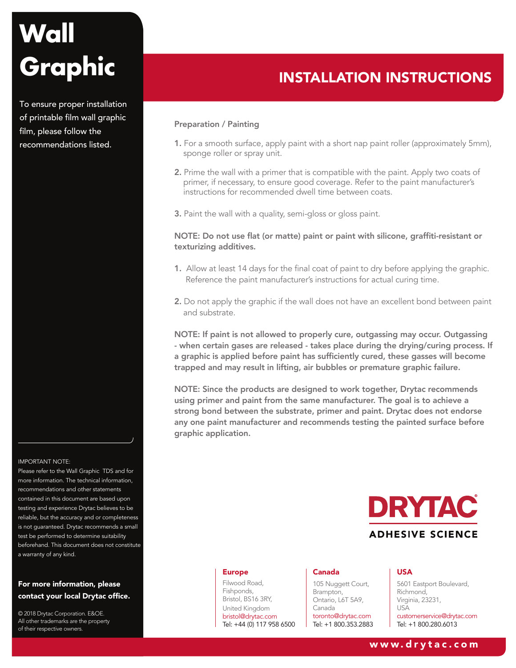To ensure proper installation of printable film wall graphic film, please follow the recommendations listed.



Please refer to the Wall Graphic TDS and for more information. The technical information, recommendations and other statements contained in this document are based upon testing and experience Drytac believes to be reliable, but the accuracy and or completeness is not guaranteed. Drytac recommends a small test be performed to determine suitability beforehand. This document does not constitute a warranty of any kind.

# For more information, please contact your local Drytac office.

© 2018 Drytac Corporation. E&OE. All other trademarks are the property of their respective owners.

# INSTALLATION INSTRUCTIONS

#### Preparation / Painting

- 1. For a smooth surface, apply paint with a short nap paint roller (approximately 5mm), sponge roller or spray unit.
- 2. Prime the wall with a primer that is compatible with the paint. Apply two coats of primer, if necessary, to ensure good coverage. Refer to the paint manufacturer's instructions for recommended dwell time between coats.

3. Paint the wall with a quality, semi-gloss or gloss paint.

# NOTE: Do not use flat (or matte) paint or paint with silicone, graffiti-resistant or texturizing additives.

- 1. Allow at least 14 days for the final coat of paint to dry before applying the graphic. Reference the paint manufacturer's instructions for actual curing time.
- 2. Do not apply the graphic if the wall does not have an excellent bond between paint and substrate.

NOTE: If paint is not allowed to properly cure, outgassing may occur. Outgassing - when certain gases are released - takes place during the drying/curing process. If a graphic is applied before paint has sufficiently cured, these gasses will become trapped and may result in lifting, air bubbles or premature graphic failure.

NOTE: Since the products are designed to work together, Drytac recommends using primer and paint from the same manufacturer. The goal is to achieve a strong bond between the substrate, primer and paint. Drytac does not endorse any one paint manufacturer and recommends testing the painted surface before graphic application.



#### Europe

Filwood Road, Fishponds, Bristol, BS16 3RY, United Kingdom bristol@drytac.com Tel: +44 (0) 117 958 6500

#### Canada

105 Nuggett Court, Brampton, Ontario, L6T 5A9, Canada toronto@drytac.com Tel: +1 800.353.2883

#### USA

5601 Eastport Boulevard, Richmond, Virginia, 23231, USA customerservice@drytac.com Tel: +1 800.280.6013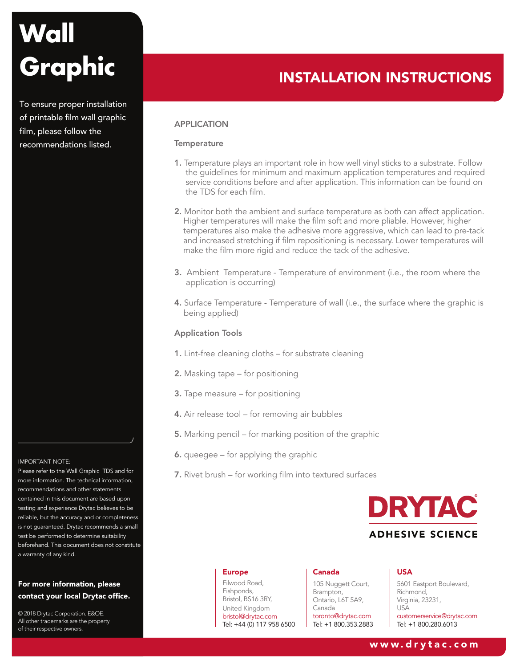To ensure proper installation of printable film wall graphic film, please follow the recommendations listed.



Please refer to the Wall Graphic TDS and for more information. The technical information, recommendations and other statements contained in this document are based upon testing and experience Drytac believes to be reliable, but the accuracy and or completeness is not guaranteed. Drytac recommends a small test be performed to determine suitability beforehand. This document does not constitute a warranty of any kind.

# For more information, please contact your local Drytac office.

© 2018 Drytac Corporation. E&OE. All other trademarks are the property of their respective owners.

# INSTALLATION INSTRUCTIONS

# APPLICATION

### **Temperature**

- 1. Temperature plays an important role in how well vinyl sticks to a substrate. Follow the guidelines for minimum and maximum application temperatures and required service conditions before and after application. This information can be found on the TDS for each film.
- 2. Monitor both the ambient and surface temperature as both can affect application. Higher temperatures will make the film soft and more pliable. However, higher temperatures also make the adhesive more aggressive, which can lead to pre-tack and increased stretching if film repositioning is necessary. Lower temperatures will make the film more rigid and reduce the tack of the adhesive.
- 3. Ambient Temperature Temperature of environment (i.e., the room where the application is occurring)
- 4. Surface Temperature Temperature of wall (i.e., the surface where the graphic is being applied)

### Application Tools

- 1. Lint-free cleaning cloths for substrate cleaning
- 2. Masking tape for positioning
- 3. Tape measure for positioning
- 4. Air release tool for removing air bubbles
- 5. Marking pencil for marking position of the graphic
- 6. queegee for applying the graphic
- 7. Rivet brush for working film into textured surfaces



#### Europe

Filwood Road, Fishponds, Bristol, BS16 3RY, United Kingdom bristol@drytac.com Tel: +44 (0) 117 958 6500

#### Canada

105 Nuggett Court, Brampton, Ontario, L6T 5A9, Canada toronto@drytac.com Tel: +1 800.353.2883

#### USA

5601 Eastport Boulevard, Richmond, Virginia, 23231, USA customerservice@drytac.com Tel: +1 800.280.6013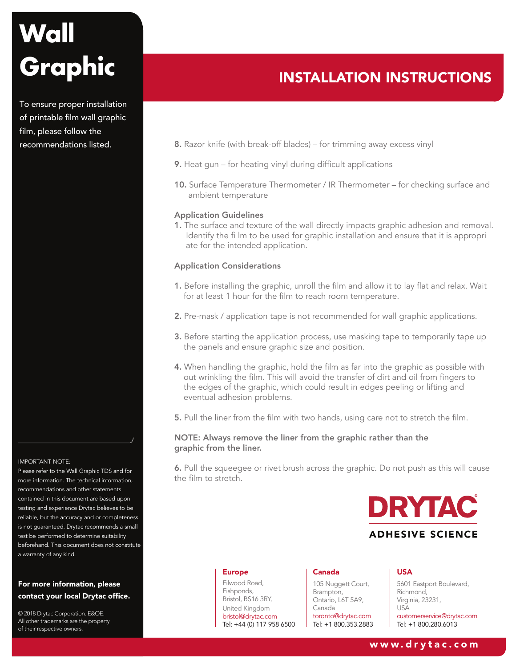To ensure proper installation of printable film wall graphic film, please follow the recommendations listed.



Please refer to the Wall Graphic TDS and for more information. The technical information, recommendations and other statements contained in this document are based upon testing and experience Drytac believes to be reliable, but the accuracy and or completeness is not guaranteed. Drytac recommends a small test be performed to determine suitability beforehand. This document does not constitute a warranty of any kind.

# For more information, please contact your local Drytac office.

© 2018 Drytac Corporation. E&OE. All other trademarks are the property of their respective owners.

# INSTALLATION INSTRUCTIONS

- 8. Razor knife (with break-off blades) for trimming away excess vinyl
- 9. Heat gun for heating vinyl during difficult applications
- 10. Surface Temperature Thermometer / IR Thermometer for checking surface and ambient temperature

#### Application Guidelines

1. The surface and texture of the wall directly impacts graphic adhesion and removal. Identify the fi lm to be used for graphic installation and ensure that it is appropri ate for the intended application.

## Application Considerations

- 1. Before installing the graphic, unroll the film and allow it to lay flat and relax. Wait for at least 1 hour for the film to reach room temperature.
- 2. Pre-mask / application tape is not recommended for wall graphic applications.
- 3. Before starting the application process, use masking tape to temporarily tape up the panels and ensure graphic size and position.
- 4. When handling the graphic, hold the film as far into the graphic as possible with out wrinkling the film. This will avoid the transfer of dirt and oil from fingers to the edges of the graphic, which could result in edges peeling or lifting and eventual adhesion problems.
- 5. Pull the liner from the film with two hands, using care not to stretch the film.

## NOTE: Always remove the liner from the graphic rather than the graphic from the liner.

6. Pull the squeegee or rivet brush across the graphic. Do not push as this will cause the film to stretch.



#### Europe

Filwood Road, Fishponds, Bristol, BS16 3RY, United Kingdom bristol@drytac.com Tel: +44 (0) 117 958 6500

#### Canada

105 Nuggett Court, Brampton, Ontario, L6T 5A9, Canada toronto@drytac.com Tel: +1 800.353.2883

#### USA

5601 Eastport Boulevard, Richmond, Virginia, 23231, USA customerservice@drytac.com Tel: +1 800.280.6013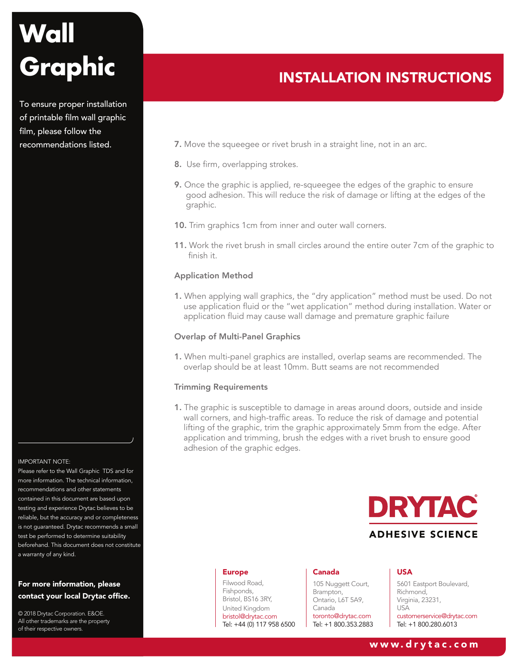To ensure proper installation of printable film wall graphic film, please follow the recommendations listed.



Please refer to the Wall Graphic TDS and for more information. The technical information, recommendations and other statements contained in this document are based upon testing and experience Drytac believes to be reliable, but the accuracy and or completeness is not guaranteed. Drytac recommends a small test be performed to determine suitability beforehand. This document does not constitute a warranty of any kind.

# For more information, please contact your local Drytac office.

© 2018 Drytac Corporation. E&OE. All other trademarks are the property of their respective owners.

# INSTALLATION INSTRUCTIONS

- 7. Move the squeegee or rivet brush in a straight line, not in an arc.
- 8. Use firm, overlapping strokes.
- 9. Once the graphic is applied, re-squeegee the edges of the graphic to ensure good adhesion. This will reduce the risk of damage or lifting at the edges of the graphic.
- 10. Trim graphics 1cm from inner and outer wall corners.
- 11. Work the rivet brush in small circles around the entire outer 7cm of the graphic to finish it.

#### Application Method

1. When applying wall graphics, the "dry application" method must be used. Do not use application fluid or the "wet application" method during installation. Water or application fluid may cause wall damage and premature graphic failure

## Overlap of Multi-Panel Graphics

1. When multi-panel graphics are installed, overlap seams are recommended. The overlap should be at least 10mm. Butt seams are not recommended

### Trimming Requirements

1. The graphic is susceptible to damage in areas around doors, outside and inside wall corners, and high-traffic areas. To reduce the risk of damage and potential lifting of the graphic, trim the graphic approximately 5mm from the edge. After application and trimming, brush the edges with a rivet brush to ensure good adhesion of the graphic edges.



#### Europe

Filwood Road, Fishponds, Bristol, BS16 3RY, United Kingdom bristol@drytac.com Tel: +44 (0) 117 958 6500

#### Canada

105 Nuggett Court, Brampton, Ontario, L6T 5A9, Canada toronto@drytac.com Tel: +1 800.353.2883

#### USA

5601 Eastport Boulevard, Richmond, Virginia, 23231, USA customerservice@drytac.com Tel: +1 800.280.6013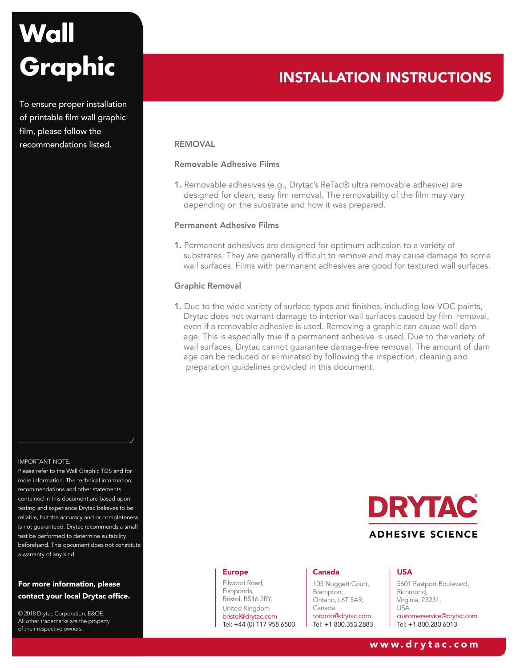To ensure proper installation of printable film wall graphic film, please follow the recommendations listed.

## IMPORTANT NOTE:

Please refer to the Wall Graphic TDS and for more information. The technical information, recommendations and other statements contained in this document are based upon testing and experience Drytac believes to be reliable, but the accuracy and or completeness is not guaranteed. Drytac recommends a small test be performed to determine suitability beforehand. This document does not constitute a warranty of any kind.

# For more information, please contact your local Drytac office.

© 2018 Drytac Corporation. E&OE. All other trademarks are the property of their respective owners.

# INSTALLATION INSTRUCTIONS

### REMOVAL

### Removable Adhesive Films

1. Removable adhesives (e.g., Drytac's ReTac® ultra removable adhesive) are designed for clean, easy fim removal. The removability of the film may vary depending on the substrate and how it was prepared.

#### Permanent Adhesive Films

1. Permanent adhesives are designed for optimum adhesion to a variety of substrates. They are generally difficult to remove and may cause damage to some wall surfaces. Films with permanent adhesives are good for textured wall surfaces.

#### Graphic Removal

1. Due to the wide variety of surface types and finishes, including low-VOC paints, Drytac does not warrant damage to interior wall surfaces caused by film removal, even if a removable adhesive is used. Removing a graphic can cause wall dam age. This is especially true if a permanent adhesive is used. Due to the variety of wall surfaces, Drytac cannot guarantee damage-free removal. The amount of dam age can be reduced or eliminated by following the inspection, cleaning and preparation guidelines provided in this document.



#### Europe

Filwood Road, Fishponds, Bristol, BS16 3RY, United Kingdom bristol@drytac.com Tel: +44 (0) 117 958 6500

#### Canada

105 Nuggett Court, Brampton, Ontario, L6T 5A9, Canada toronto@drytac.com Tel: +1 800.353.2883

#### USA

5601 Eastport Boulevard, Richmond, Virginia, 23231, USA customerservice@drytac.com Tel: +1 800.280.6013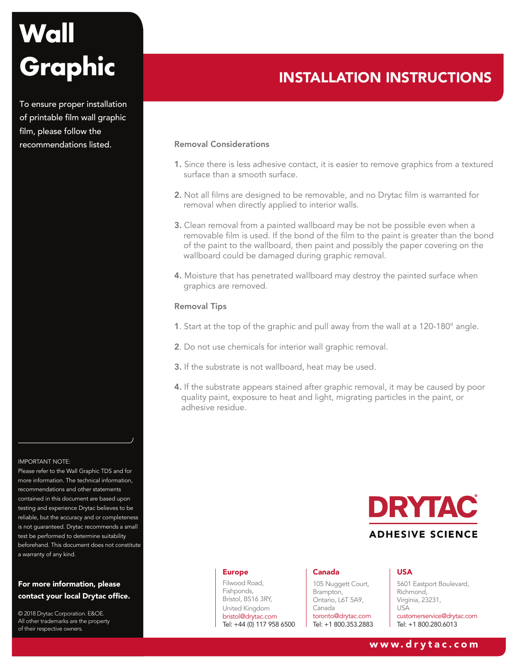To ensure proper installation of printable film wall graphic film, please follow the recommendations listed.



Please refer to the Wall Graphic TDS and for more information. The technical information, recommendations and other statements contained in this document are based upon testing and experience Drytac believes to be reliable, but the accuracy and or completeness is not guaranteed. Drytac recommends a small test be performed to determine suitability beforehand. This document does not constitute a warranty of any kind.

# For more information, please contact your local Drytac office.

© 2018 Drytac Corporation. E&OE. All other trademarks are the property of their respective owners.

# INSTALLATION INSTRUCTIONS

## Removal Considerations

- 1. Since there is less adhesive contact, it is easier to remove graphics from a textured surface than a smooth surface.
- 2. Not all films are designed to be removable, and no Drytac film is warranted for removal when directly applied to interior walls.
- 3. Clean removal from a painted wallboard may be not be possible even when a removable film is used. If the bond of the film to the paint is greater than the bond of the paint to the wallboard, then paint and possibly the paper covering on the wallboard could be damaged during graphic removal.
- 4. Moisture that has penetrated wallboard may destroy the painted surface when graphics are removed.

### Removal Tips

- 1. Start at the top of the graphic and pull away from the wall at a 120-180° angle.
- 2. Do not use chemicals for interior wall graphic removal.
- 3. If the substrate is not wallboard, heat may be used.
- 4. If the substrate appears stained after graphic removal, it may be caused by poor quality paint, exposure to heat and light, migrating particles in the paint, or adhesive residue.



#### Europe

Filwood Road, Fishponds, Bristol, BS16 3RY, United Kingdom bristol@drytac.com Tel: +44 (0) 117 958 6500

#### Canada

105 Nuggett Court, Brampton, Ontario, L6T 5A9, Canada toronto@drytac.com Tel: +1 800.353.2883

#### USA

5601 Eastport Boulevard, Richmond, Virginia, 23231, USA customerservice@drytac.com Tel: +1 800.280.6013